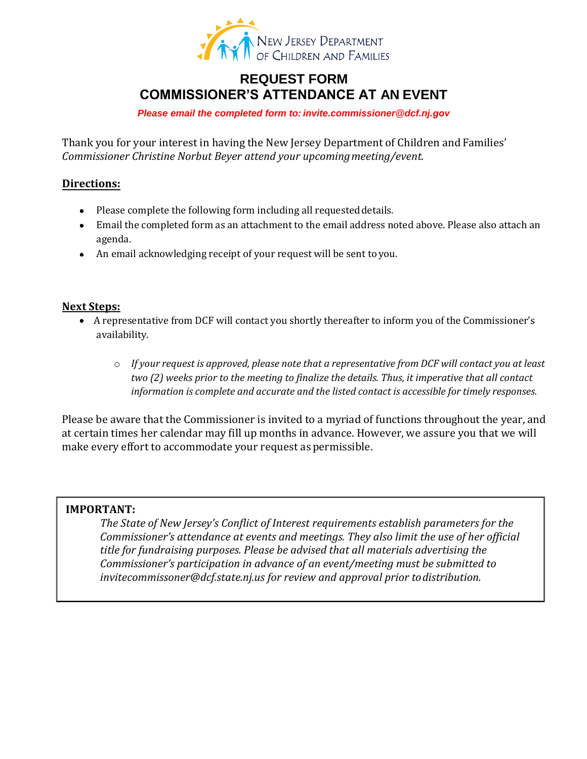

## **REQUEST FORM COMMISSIONER'S ATT[ENDANCE AT AN EVENT](mailto:invite.commissioner@dcf.nj.gov)**

*Please email the completed form to: invite.commissioner@dcf.nj.gov*

Thank you for your interest in having the New Jersey Department of Children and Families' *Commissioner Christine Norbut Beyer attend your upcoming meeting/event.*

### **Directions:**

- Please complete the following form including all requested details.
- Email the completed form as an attachment to the email address noted above. Please also attach an agenda.
- An email acknowledging receipt of your request will be sent to you.

#### **Next Steps:**

- A representative from DCF will contact you shortly thereafter to inform you of the Commissioner's availability.
	- o *If your request is approved, please note that a representative from DCF will contact you at least two (2) weeks prior to the meeting to finalize the details. Thus, it imperative that all contact information is complete and accurate and the listed contact is accessible for timely responses.*

Please be aware that the Commissioner is invited to a myriad of functions throughout the year, and at certain times her calendar may fill up months in advance. However, we assure you that we will make every effort to accommodate your request as permissible.

### **IMPORTANT:**

*The State of New Jersey's Conflict of Interest requirements establish parameters for the Commissioner's attendance at events and meetings. They also limit the use of her official title for fundraising purposes. Please be advised that all materials advertising the [Commissioner's participation in adv](mailto:invitecommissoner@dcf.state.nj.us)ance of an event/meeting must be submitted to invitecommissoner@dcf.state.nj.us for review and approval prior to distribution.*